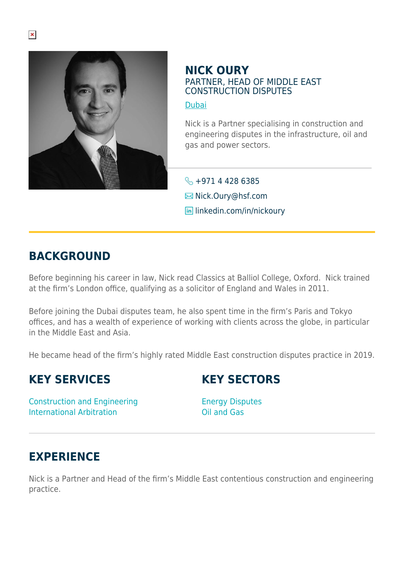

### **NICK OURY** PARTNER, HEAD OF MIDDLE EAST CONSTRUCTION DISPUTES

[Dubai](https://www.herbertsmithfreehills.com/lang-de/where-we-work/dubai)

Nick is a Partner specialising in construction and engineering disputes in the infrastructure, oil and gas and power sectors.

 $\leftarrow$  +971 4 428 6385 **E**Nick.Oury@hsf.com **lin** linkedin.com/in/nickoury

# **BACKGROUND**

Before beginning his career in law, Nick read Classics at Balliol College, Oxford. Nick trained at the firm's London office, qualifying as a solicitor of England and Wales in 2011.

Before joining the Dubai disputes team, he also spent time in the firm's Paris and Tokyo offices, and has a wealth of experience of working with clients across the globe, in particular in the Middle East and Asia.

He became head of the firm's highly rated Middle East construction disputes practice in 2019.

# **KEY SERVICES**

# **KEY SECTORS**

Construction and Engineering International Arbitration

Energy Disputes Oil and Gas

# **EXPERIENCE**

Nick is a Partner and Head of the firm's Middle East contentious construction and engineering practice.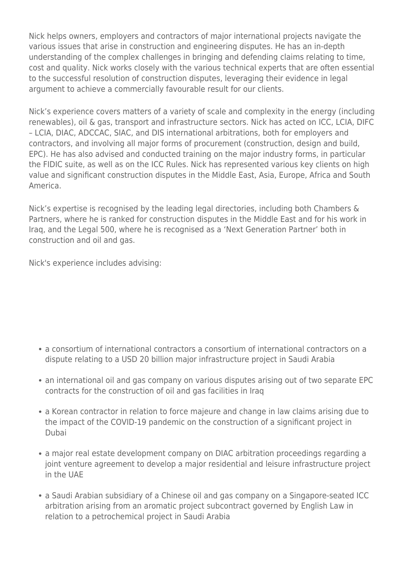Nick helps owners, employers and contractors of major international projects navigate the various issues that arise in construction and engineering disputes. He has an in-depth understanding of the complex challenges in bringing and defending claims relating to time, cost and quality. Nick works closely with the various technical experts that are often essential to the successful resolution of construction disputes, leveraging their evidence in legal argument to achieve a commercially favourable result for our clients.

Nick's experience covers matters of a variety of scale and complexity in the energy (including renewables), oil & gas, transport and infrastructure sectors. Nick has acted on ICC, LCIA, DIFC – LCIA, DIAC, ADCCAC, SIAC, and DIS international arbitrations, both for employers and contractors, and involving all major forms of procurement (construction, design and build, EPC). He has also advised and conducted training on the major industry forms, in particular the FIDIC suite, as well as on the ICC Rules. Nick has represented various key clients on high value and significant construction disputes in the Middle East, Asia, Europe, Africa and South America.

Nick's expertise is recognised by the leading legal directories, including both Chambers & Partners, where he is ranked for construction disputes in the Middle East and for his work in Iraq, and the Legal 500, where he is recognised as a 'Next Generation Partner' both in construction and oil and gas.

Nick's experience includes advising:

- a consortium of international contractors a consortium of international contractors on a dispute relating to a USD 20 billion major infrastructure project in Saudi Arabia
- an international oil and gas company on various disputes arising out of two separate EPC contracts for the construction of oil and gas facilities in Iraq
- a Korean contractor in relation to force majeure and change in law claims arising due to the impact of the COVID-19 pandemic on the construction of a significant project in Dubai
- a major real estate development company on DIAC arbitration proceedings regarding a joint venture agreement to develop a major residential and leisure infrastructure project in the UAE
- a Saudi Arabian subsidiary of a Chinese oil and gas company on a Singapore-seated ICC arbitration arising from an aromatic project subcontract governed by English Law in relation to a petrochemical project in Saudi Arabia